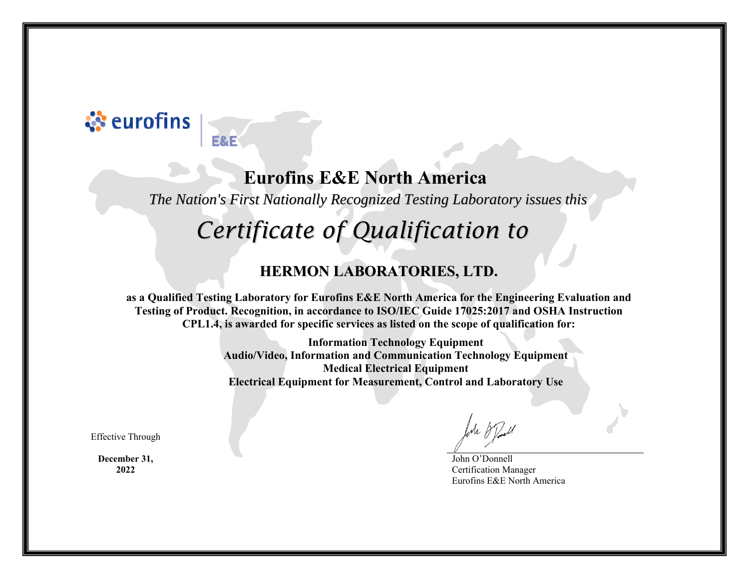## ्रे eurofins

E&F

### **Eurofins E&E North America**

*The Nation's First Nationally Recognized Testing Laboratory issues this*

# *Certificate of Qualification to*

#### **HERMON LABORATORIES, LTD.**

**as a Qualified Testing Laboratory for Eurofins E&E North America for the Engineering Evaluation and Testing of Product. Recognition, in accordance to ISO/IEC Guide 17025:2017 and OSHA Instruction CPL1.4, is awarded for specific services as listed on the scope of qualification for:** 

> **Information Technology Equipment Audio/Video, Information and Communication Technology Equipment Medical Electrical Equipment Electrical Equipment for Measurement, Control and Laboratory Use**

Effective Through

**December 31, 2022** 

John O'Donnell Certification Manager Eurofins E&E North America